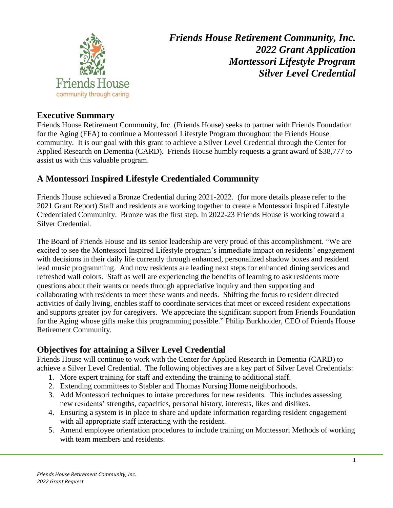

*Friends House Retirement Community, Inc. 2022 Grant Application Montessori Lifestyle Program Silver Level Credential*

#### **Executive Summary**

Friends House Retirement Community, Inc. (Friends House) seeks to partner with Friends Foundation for the Aging (FFA) to continue a Montessori Lifestyle Program throughout the Friends House community. It is our goal with this grant to achieve a Silver Level Credential through the Center for Applied Research on Dementia (CARD). Friends House humbly requests a grant award of \$38,777 to assist us with this valuable program.

# **A Montessori Inspired Lifestyle Credentialed Community**

Friends House achieved a Bronze Credential during 2021-2022. (for more details please refer to the 2021 Grant Report) Staff and residents are working together to create a Montessori Inspired Lifestyle Credentialed Community. Bronze was the first step. In 2022-23 Friends House is working toward a Silver Credential.

The Board of Friends House and its senior leadership are very proud of this accomplishment. "We are excited to see the Montessori Inspired Lifestyle program's immediate impact on residents' engagement with decisions in their daily life currently through enhanced, personalized shadow boxes and resident lead music programming. And now residents are leading next steps for enhanced dining services and refreshed wall colors. Staff as well are experiencing the benefits of learning to ask residents more questions about their wants or needs through appreciative inquiry and then supporting and collaborating with residents to meet these wants and needs. Shifting the focus to resident directed activities of daily living, enables staff to coordinate services that meet or exceed resident expectations and supports greater joy for caregivers. We appreciate the significant support from Friends Foundation for the Aging whose gifts make this programming possible." Philip Burkholder, CEO of Friends House Retirement Community.

## **Objectives for attaining a Silver Level Credential**

Friends House will continue to work with the Center for Applied Research in Dementia (CARD) to achieve a Silver Level Credential. The following objectives are a key part of Silver Level Credentials:

- 1. More expert training for staff and extending the training to additional staff.
- 2. Extending committees to Stabler and Thomas Nursing Home neighborhoods.
- 3. Add Montessori techniques to intake procedures for new residents. This includes assessing new residents' strengths, capacities, personal history, interests, likes and dislikes.
- 4. Ensuring a system is in place to share and update information regarding resident engagement with all appropriate staff interacting with the resident.
- 5. Amend employee orientation procedures to include training on Montessori Methods of working with team members and residents.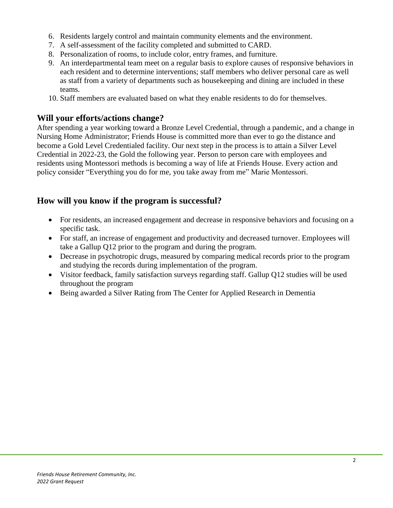- 6. Residents largely control and maintain community elements and the environment.
- 7. A self-assessment of the facility completed and submitted to CARD.
- 8. Personalization of rooms, to include color, entry frames, and furniture.
- 9. An interdepartmental team meet on a regular basis to explore causes of responsive behaviors in each resident and to determine interventions; staff members who deliver personal care as well as staff from a variety of departments such as housekeeping and dining are included in these teams.
- 10. Staff members are evaluated based on what they enable residents to do for themselves.

#### **Will your efforts/actions change?**

After spending a year working toward a Bronze Level Credential, through a pandemic, and a change in Nursing Home Administrator; Friends House is committed more than ever to go the distance and become a Gold Level Credentialed facility. Our next step in the process is to attain a Silver Level Credential in 2022-23, the Gold the following year. Person to person care with employees and residents using Montessori methods is becoming a way of life at Friends House. Every action and policy consider "Everything you do for me, you take away from me" Marie Montessori.

## **How will you know if the program is successful?**

- For residents, an increased engagement and decrease in responsive behaviors and focusing on a specific task.
- For staff, an increase of engagement and productivity and decreased turnover. Employees will take a Gallup Q12 prior to the program and during the program.
- Decrease in psychotropic drugs, measured by comparing medical records prior to the program and studying the records during implementation of the program.
- Visitor feedback, family satisfaction surveys regarding staff. Gallup Q12 studies will be used throughout the program
- Being awarded a Silver Rating from The Center for Applied Research in Dementia